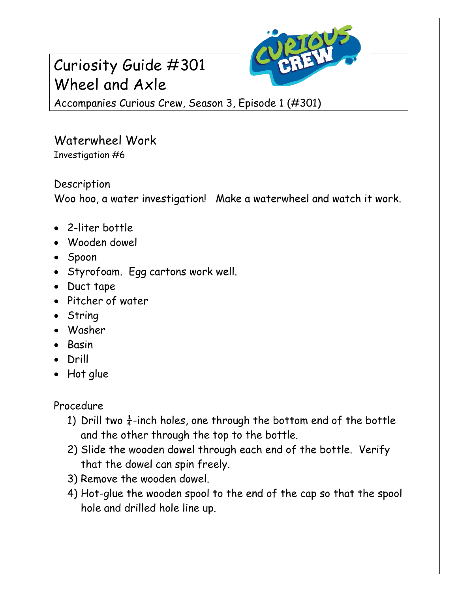# Curiosity Guide #301 Wheel and Axle



Accompanies Curious Crew, Season 3, Episode 1 (#301)

### Waterwheel Work Investigation #6

### Description

Woo hoo, a water investigation! Make a waterwheel and watch it work.

- 2-liter bottle
- Wooden dowel
- Spoon
- Styrofoam. Egg cartons work well.
- Duct tape
- Pitcher of water
- String
- Washer
- Basin
- Drill
- Hot glue

Procedure

- 1) Drill two  $\frac{1}{4}$ -inch holes, one through the bottom end of the bottle and the other through the top to the bottle.
- 2) Slide the wooden dowel through each end of the bottle. Verify that the dowel can spin freely.
- 3) Remove the wooden dowel.
- 4) Hot-glue the wooden spool to the end of the cap so that the spool hole and drilled hole line up.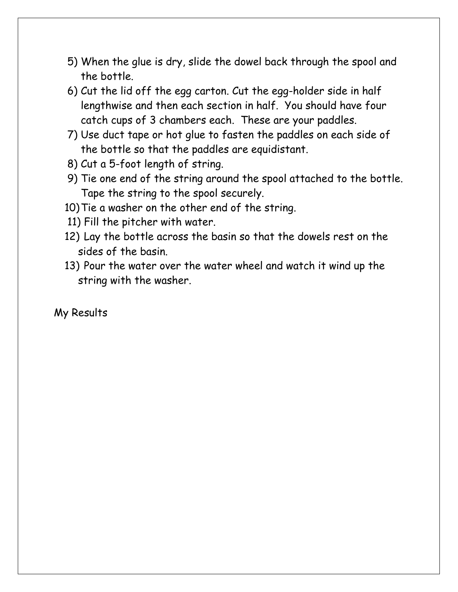- 5) When the glue is dry, slide the dowel back through the spool and the bottle.
- 6) Cut the lid off the egg carton. Cut the egg-holder side in half lengthwise and then each section in half. You should have four catch cups of 3 chambers each. These are your paddles.
- 7) Use duct tape or hot glue to fasten the paddles on each side of the bottle so that the paddles are equidistant.
- 8) Cut a 5-foot length of string.
- 9) Tie one end of the string around the spool attached to the bottle. Tape the string to the spool securely.
- 10)Tie a washer on the other end of the string.
- 11) Fill the pitcher with water.
- 12) Lay the bottle across the basin so that the dowels rest on the sides of the basin.
- 13) Pour the water over the water wheel and watch it wind up the string with the washer.

My Results